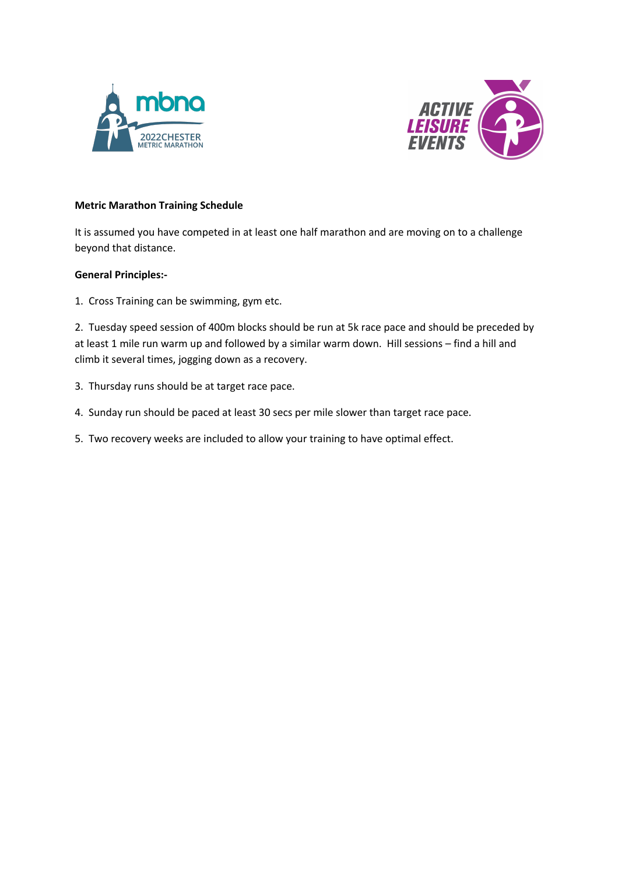



## **Metric Marathon Training Schedule**

It is assumed you have competed in at least one half marathon and are moving on to a challenge beyond that distance.

## **General Principles:-**

1. Cross Training can be swimming, gym etc.

2. Tuesday speed session of 400m blocks should be run at 5k race pace and should be preceded by at least 1 mile run warm up and followed by a similar warm down. Hill sessions – find a hill and climb it several times, jogging down as a recovery.

- 3. Thursday runs should be at target race pace.
- 4. Sunday run should be paced at least 30 secs per mile slower than target race pace.
- 5. Two recovery weeks are included to allow your training to have optimal effect.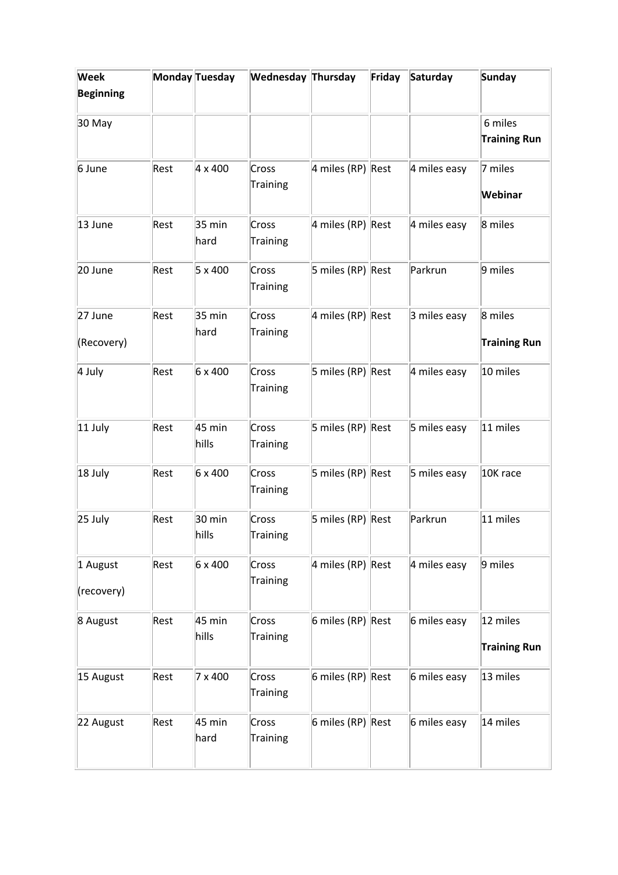| Week             |      | Monday Tuesday   | Wednesday Thursday |                   | Friday | Saturday     | <b>Sunday</b>       |
|------------------|------|------------------|--------------------|-------------------|--------|--------------|---------------------|
| <b>Beginning</b> |      |                  |                    |                   |        |              |                     |
| 30 May           |      |                  |                    |                   |        |              | 6 miles             |
|                  |      |                  |                    |                   |        |              | <b>Training Run</b> |
| 6 June           | Rest | 4 x 400          | Cross              | 4 miles (RP) Rest |        | 4 miles easy | 7 miles             |
|                  |      |                  | Training           |                   |        |              | Webinar             |
| 13 June          | Rest | $35 \text{ min}$ | Cross              | 4 miles (RP) Rest |        | 4 miles easy | 8 miles             |
|                  |      | hard             | Training           |                   |        |              |                     |
| 20 June          | Rest | 5 x 400          | Cross              | 5 miles (RP) Rest |        | Parkrun      | 9 miles             |
|                  |      |                  | Training           |                   |        |              |                     |
| 27 June          | Rest | $35 \text{ min}$ | Cross              | 4 miles (RP) Rest |        | 3 miles easy | 8 miles             |
| (Recovery)       |      | hard             | Training           |                   |        |              | <b>Training Run</b> |
|                  |      |                  |                    |                   |        |              |                     |
| 4 July           | Rest | 6 x 400          | Cross<br>Training  | 5 miles (RP) Rest |        | 4 miles easy | 10 miles            |
| $11$ July        | Rest | 45 min           | Cross              | 5 miles (RP) Rest |        | 5 miles easy | 11 miles            |
|                  |      | hills            | Training           |                   |        |              |                     |
| 18 July          | Rest | 6 x 400          | Cross              | 5 miles (RP) Rest |        | 5 miles easy | 10K race            |
|                  |      |                  | Training           |                   |        |              |                     |
| 25 July          | Rest | $30 \text{ min}$ | Cross              | 5 miles (RP) Rest |        | Parkrun      | 11 miles            |
|                  |      | hills            | Training           |                   |        |              |                     |
| 1 August         | Rest | 6 x 400          | Cross              | 4 miles (RP) Rest |        | 4 miles easy | 9 miles             |
| (recovery)       |      |                  | Training           |                   |        |              |                     |
| 8 August         | Rest | 45 min           | Cross              | 6 miles (RP) Rest |        | 6 miles easy | 12 miles            |
|                  |      | hills            | Training           |                   |        |              |                     |
|                  |      |                  |                    |                   |        |              | <b>Training Run</b> |
| 15 August        | Rest | 7 x 400          | Cross              | 6 miles (RP) Rest |        | 6 miles easy | 13 miles            |
|                  |      |                  | Training           |                   |        |              |                     |
| 22 August        | Rest | 45 min           | Cross              | 6 miles (RP) Rest |        | 6 miles easy | 14 miles            |
|                  |      | hard             | Training           |                   |        |              |                     |
|                  |      |                  |                    |                   |        |              |                     |